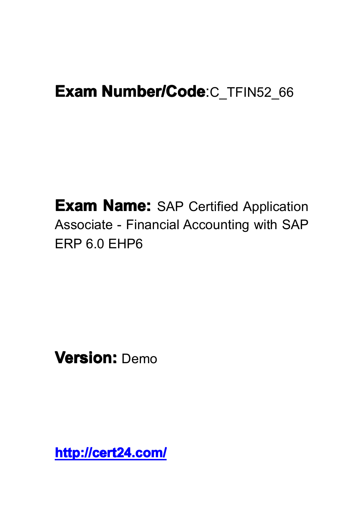# **Exam Number/Code:C\_TFIN52\_66**

**Exam Name:** SAP Certified Application Associate - Financial Accounting with SAP ERP 6.0 EHP6

**Version:** Demo

**<http://cert24.com/> http://cert24.com/ http://cert24.com/ http://cert24.com/**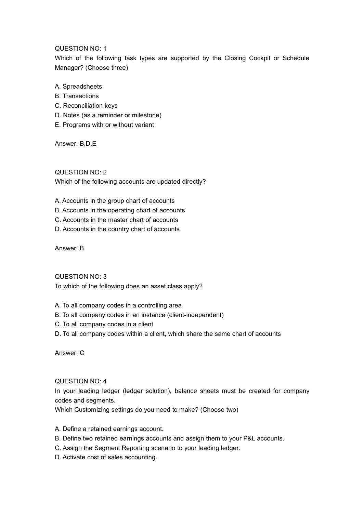## QUESTION NO: 1

Which of the following task types are supported by the Closing Cockpit or Schedule Manager? (Choose three)

- A. Spreadsheets
- B. Transactions
- C. Reconciliation keys
- D. Notes (as <sup>a</sup> reminder or milestone)
- E. Programs with or without variant

Answer: B,D,E

QUESTION NO: 2 Which of the following accounts are updated directly?

- A. Accounts in the group chart of accounts
- B. Accounts in the operating chart of accounts
- C. Accounts in the master chart of accounts
- D. Accounts in the country chart of accounts

Answer: B

QUESTION NO: 3

To which of the following does an asset class apply?

- A. To all company codes in <sup>a</sup> controlling area
- B. To all company codes in an instance (client-independent)
- C. To all company codes in <sup>a</sup> client
- D. To all company codes within <sup>a</sup> client, which share the same chart of accounts

Answer: C

#### QUESTION NO: 4

In your leading ledger (ledger solution), balance sheets must be created for company codes and segments.

Which Customizing settings do you need to make? (Choose two)

- A. Define <sup>a</sup> retained earnings account.
- B. Define two retained earnings accounts and assign them to your P&L accounts.
- C. Assign the Segment Reporting scenario to your leading ledger.
- D. Activate cost of sales accounting.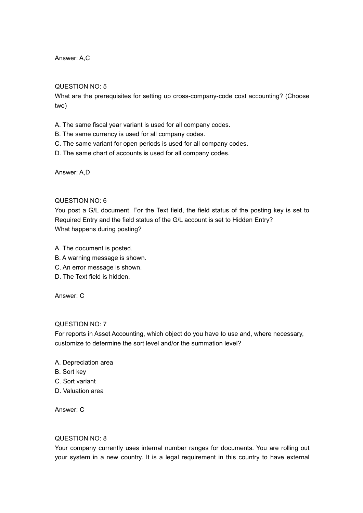Answer: A,C

## QUESTION NO: 5

What are the prerequisites for setting up cross-company-code cost accounting? (Choose two)

A. The same fiscal year variant is used for all company codes.

- B. The same currency is used for all company codes.
- C. The same variant for open periods is used for all company codes.
- D. The same chart of accounts is used for all company codes.

Answer: A,D

# QUESTION NO: 6

You post <sup>a</sup> G/L document. For the Text field, the field status of the posting key is set to Required Entry and the field status of the G/L account is set to Hidden Entry? What happens during posting?

- A. The document is posted.
- B. A warning message is shown.
- C. An error message is shown.
- D. The Text field is hidden.

Answer: C

## QUESTION NO: 7

For reports in Asset Accounting, which object do you have to use and, where necessary, customize to determine the sort level and/or the summation level?

- A. Depreciation area
- B. Sort key
- C. Sort variant
- D. Valuation area

Answer: C

## QUESTION NO: 8

Your company currently uses internal number ranges for documents. You are rolling out your system in a new country. It is a legal requirement in this country to have external